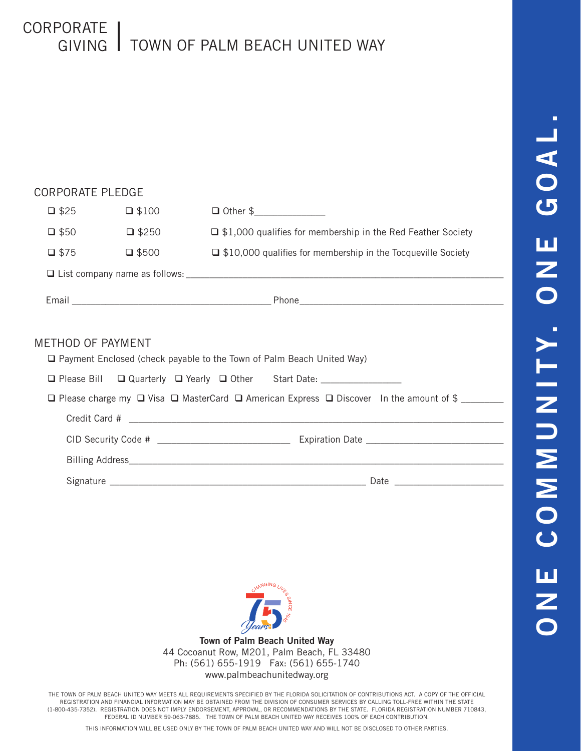## CORPORATE GIVING I TOWN OF PALM BEACH UNITED WAY

| <b>CORPORATE PLEDGE</b>  |              |                                                                                                                   |
|--------------------------|--------------|-------------------------------------------------------------------------------------------------------------------|
| $\square$ \$25           | $\Box$ \$100 | □ Other \$_________________                                                                                       |
| $\square$ \$50           | $\Box$ \$250 | $\Box$ \$1,000 qualifies for membership in the Red Feather Society                                                |
| $\square$ \$75           | $\Box$ \$500 | $\Box$ \$10,000 qualifies for membership in the Tocqueville Society                                               |
|                          |              |                                                                                                                   |
|                          |              |                                                                                                                   |
|                          |              |                                                                                                                   |
| <b>METHOD OF PAYMENT</b> |              | □ Payment Enclosed (check payable to the Town of Palm Beach United Way)                                           |
| $\Box$ Please Bill       |              | □ Quarterly □ Yearly □ Other Start Date: ________________                                                         |
|                          |              | $\Box$ Please charge my $\Box$ Visa $\Box$ MasterCard $\Box$ American Express $\Box$ Discover In the amount of \$ |
|                          |              |                                                                                                                   |
|                          |              |                                                                                                                   |
|                          |              |                                                                                                                   |
|                          |              |                                                                                                                   |
|                          |              |                                                                                                                   |
|                          |              |                                                                                                                   |
|                          |              |                                                                                                                   |
|                          |              |                                                                                                                   |
|                          |              |                                                                                                                   |
|                          |              |                                                                                                                   |

**Town of Palm Beach United Way** 44 Cocoanut Row, M201, Palm Beach, FL 33480 Ph: (561) 655-1919 Fax: (561) 655-1740 www.palmbeachunitedway.org Years

THE TOWN OF PALM BEACH UNITED WAY MEETS ALL REQUIREMENTS SPECIFIED BY THE FLORIDA SOLICITATION OF CONTRIBUTIONS ACT. A COPY OF THE OFFICIAL REGISTRATION AND FINANCIAL INFORMATION MAY BE OBTAINED FROM THE DIVISION OF CONSUMER SERVICES BY CALLING TOLL-FREE WITHIN THE STATE (1-800-435-7352). REGISTRATION DOES NOT IMPLY ENDORSEMENT, APPROVAL, OR RECOMMENDATIONS BY THE STATE. FLORIDA REGISTRATION NUMBER 710843, FEDERAL ID NUMBER 59-063-7885. THE TOWN OF PALM BEACH UNITED WAY RECEIVES 100% OF EACH CONTRIBUTION.